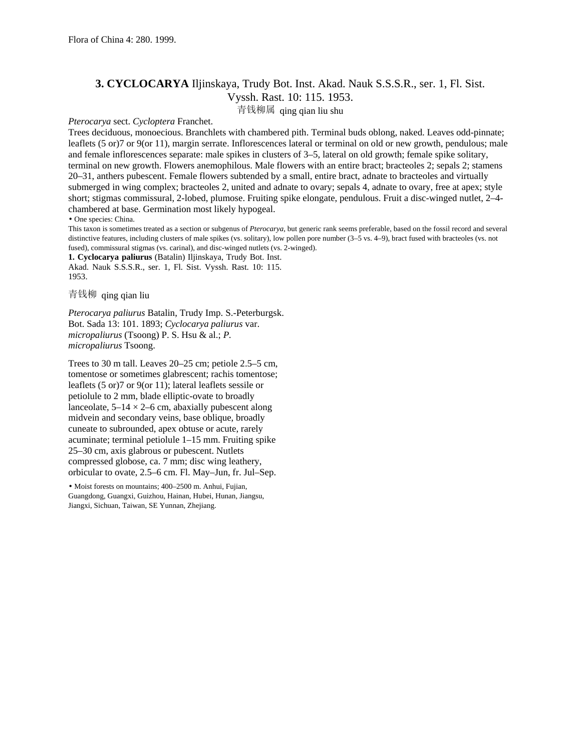## **3. CYCLOCARYA** Iljinskaya, Trudy Bot. Inst. Akad. Nauk S.S.S.R., ser. 1, Fl. Sist. Vyssh. Rast. 10: 115. 1953.

青钱柳属 qing qian liu shu

## *Pterocarya* sect. *Cycloptera* Franchet.

Trees deciduous, monoecious. Branchlets with chambered pith. Terminal buds oblong, naked. Leaves odd-pinnate; leaflets (5 or)7 or 9(or 11), margin serrate. Inflorescences lateral or terminal on old or new growth, pendulous; male and female inflorescences separate: male spikes in clusters of 3–5, lateral on old growth; female spike solitary, terminal on new growth. Flowers anemophilous. Male flowers with an entire bract; bracteoles 2; sepals 2; stamens 20–31, anthers pubescent. Female flowers subtended by a small, entire bract, adnate to bracteoles and virtually submerged in wing complex; bracteoles 2, united and adnate to ovary; sepals 4, adnate to ovary, free at apex; style short; stigmas commissural, 2-lobed, plumose. Fruiting spike elongate, pendulous. Fruit a disc-winged nutlet, 2–4 chambered at base. Germination most likely hypogeal.

• One species: China.

This taxon is sometimes treated as a section or subgenus of *Pterocarya,* but generic rank seems preferable, based on the fossil record and several distinctive features, including clusters of male spikes (vs. solitary), low pollen pore number (3–5 vs. 4–9), bract fused with bracteoles (vs. not fused), commissural stigmas (vs. carinal), and disc-winged nutlets (vs. 2-winged).

**1. Cyclocarya paliurus** (Batalin) Iljinskaya, Trudy Bot. Inst. Akad. Nauk S.S.S.R., ser. 1, Fl. Sist. Vyssh. Rast. 10: 115. 1953.

青钱柳 qing qian liu

*Pterocarya paliurus* Batalin, Trudy Imp. S.-Peterburgsk. Bot. Sada 13: 101. 1893; *Cyclocarya paliurus* var. *micropaliurus* (Tsoong) P. S. Hsu & al.; *P. micropaliurus* Tsoong.

Trees to 30 m tall. Leaves 20–25 cm; petiole 2.5–5 cm, tomentose or sometimes glabrescent; rachis tomentose; leaflets (5 or)7 or 9(or 11); lateral leaflets sessile or petiolule to 2 mm, blade elliptic-ovate to broadly lanceolate,  $5-14 \times 2-6$  cm, abaxially pubescent along midvein and secondary veins, base oblique, broadly cuneate to subrounded, apex obtuse or acute, rarely acuminate; terminal petiolule 1–15 mm. Fruiting spike 25–30 cm, axis glabrous or pubescent. Nutlets compressed globose, ca. 7 mm; disc wing leathery, orbicular to ovate, 2.5–6 cm. Fl. May–Jun, fr. Jul–Sep.

• Moist forests on mountains; 400–2500 m. Anhui, Fujian, Guangdong, Guangxi, Guizhou, Hainan, Hubei, Hunan, Jiangsu, Jiangxi, Sichuan, Taiwan, SE Yunnan, Zhejiang.